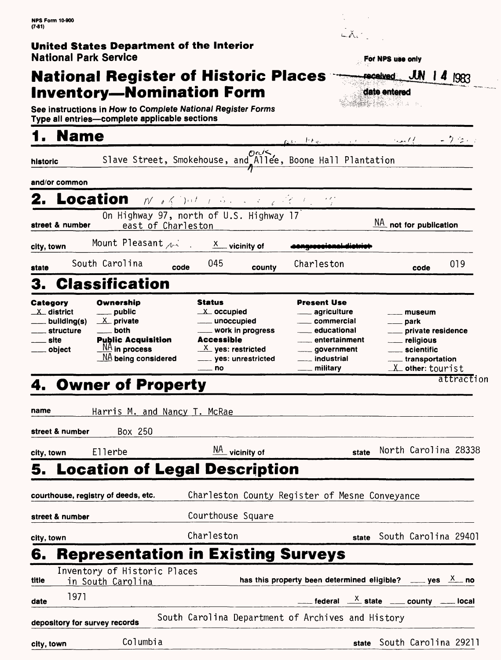### **United States Department of the Interior National Park Service**

# **National Register of Historic Places Inventory-Nomination Form**

**See instructions in How to Complete National Register Forms Type all entries—complete applicable sections** 

# **1. Name 1. name results**  $\alpha$  *results*  $\alpha$  *results*  $\alpha$  - *7.2.1*

| Category   | Ownership                          | <b>Status</b>                                                      | <b>Present Use</b>                                         |                                               |  |
|------------|------------------------------------|--------------------------------------------------------------------|------------------------------------------------------------|-----------------------------------------------|--|
|            | 3. Classification                  |                                                                    |                                                            |                                               |  |
| state      | South Carolina                     | 045<br>code                                                        | Charleston<br>county                                       | 019<br>code                                   |  |
| city, town |                                    | Mount Pleasant $\lambda$ $\lambda$ $\lambda$ $\lambda$ vicinity of |                                                            |                                               |  |
|            | street & number                    | On Highway 97, north of U.S. Highway 17<br>east of Charleston      |                                                            | $\underline{\mathsf{NA}}$ not for publication |  |
|            | 2. Location Morphet Communications |                                                                    |                                                            |                                               |  |
|            | and/or common                      |                                                                    |                                                            |                                               |  |
|            |                                    |                                                                    |                                                            |                                               |  |
| historic   |                                    |                                                                    | Slave Street, Smokehouse, and Allee, Boone Hall Plantation |                                               |  |

| Category                  | Ownership                             | <b>Status</b>          | <b>Present Use</b> |                       |
|---------------------------|---------------------------------------|------------------------|--------------------|-----------------------|
| $\perp$ district          | ____ public                           | $X$ occupied           | ____ agriculture   | museum                |
| $\frac{1}{1}$ building(s) | $X$ private                           | unoccupied             | commercial         | <u>_</u> __ park      |
| structure                 | __ both                               | ___ work in progress   | educational        | ___ private residence |
| . site                    | <b>Public Acquisition</b>             | <b>Accessible</b>      | entertainment      | religious             |
| object                    | $\frac{NA}{A}$ in process             | $X$ yes: restricted    | ____ government    | scientific            |
|                           | $\underline{\sf NA}$ being considered | ____ yes: unrestricted | . industrial       | transportation        |
|                           |                                       | —— no                  | . militarv         | $X$ other: tourist    |
|                           | ----------                            |                        |                    | attraction            |

# 4. Owner of Property

| name       |                                                   | Harris M. and Nancy T. McRae                      |       |                                                                                            |
|------------|---------------------------------------------------|---------------------------------------------------|-------|--------------------------------------------------------------------------------------------|
|            | Box 250<br>street & number                        |                                                   |       |                                                                                            |
|            | city, town Ellerbe                                | $\frac{NA}{A}$ vicinity of                        | state | North Carolina 28338                                                                       |
|            |                                                   | 5. Location of Legal Description                  |       |                                                                                            |
|            | courthouse, registry of deeds, etc.               | Charleston County Register of Mesne Conveyance    |       |                                                                                            |
|            | street & number                                   | Courthouse Square                                 |       |                                                                                            |
| city, town |                                                   | Charleston                                        |       | state South Carolina 29401                                                                 |
| 6.         |                                                   | <b>Representation in Existing Surveys</b>         |       |                                                                                            |
| title      | Inventory of Historic Places<br>in South Carolina |                                                   |       | has this property been determined eligible? ____ yes $\frac{X}{X}$ no                      |
| date       | 1971                                              |                                                   |       | $\frac{x}{1-x}$ federal $\frac{x}{1-x}$ state $\frac{x}{1-x}$ county $\frac{x}{1-x}$ local |
|            | depository for survey records                     | South Carolina Department of Archives and History |       |                                                                                            |
| city, town | Columbia                                          |                                                   |       | state South Carolina 29211                                                                 |



| <b>date entered</b> |  | <u>ved</u> JUN   4 1983 |
|---------------------|--|-------------------------|

For NPS use only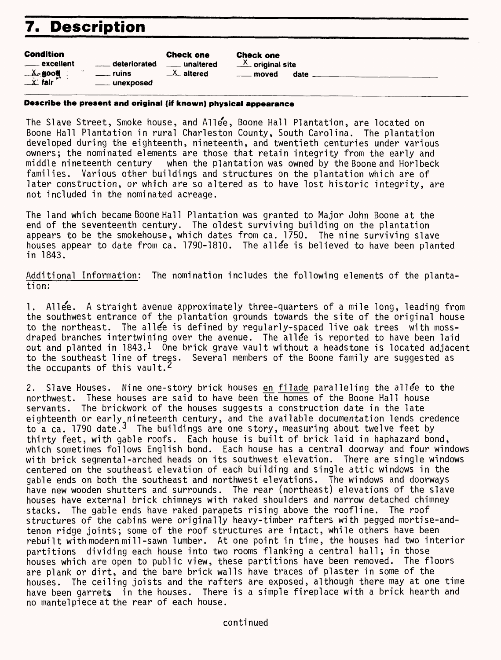# **7. Description**

| <b>Condition</b> |
|------------------|
|------------------|

| Condition                          |                | <b>Check one</b>       |
|------------------------------------|----------------|------------------------|
| ____ excellent                     | deteriorated   | <u>___</u> _ unaltered |
| $\cdot$<br>— ≚⊷gooti ∶<br>— x∵fair | ruins          | $X$ altered            |
|                                    | ____ unexposed |                        |

Check one  $\frac{X}{X}$  original site \_ moved date \_

### **Describe the present and original (if known) physical appearance**

The Slave Street, Smoke house, and Allee, Boone Hall Plantation, are located on Boone Hall Plantation in rural Charleston County, South Carolina. The plantation developed during the eighteenth, nineteenth, and twentieth centuries under various owners; the nominated elements are those that retain integrity from the early and<br>middle nineteenth century swhen the plantation was owned by the Boone and Horlbeck when the plantation was owned by the Boone and Horlbeck families. Various other buildings and structures on the plantation which are of later construction, or which are so altered as to have lost historic integrity, are not included in the nominated acreage.

The land which became Boone Hall Plantation was granted to Major John Boone at the end of the seventeenth century. The oldest surviving building on the plantation appears to be the smokehouse, which dates from ca. 1750. The nine surviving slave houses appear to date from ca. 1790-1810. The allee is believed to have been planted in 1843.

Additional Information: The nomination includes the following elements of the plantation:

1. Allee. A straight avenue approximately three-quarters of a mile long, leading from the southwest entrance of the plantation grounds towards the site of the original house to the northeast. The allee is defined by requiarly-spaced live oak trees with mossdraped branches intertwining over the avenue. The allee is reported to have been laid out and planted in  $1843.1$  One brick grave vault without a headstone is located adjacent to the southeast line of trees. Several members of the Boone family are suggested as the occupants of this vault.<sup>2</sup>

2. Slave Houses. Nine one-story brick houses en filade paralleling the allee to the northwest. These houses are said to have been the homes of the Boone Hall house servants. The brickwork of the houses suggests a construction date in the late eighteenth or early nineteenth century, and the available documentation lends credence to a ca. 1790 date.<sup>3</sup> The buildings are one story, measuring about twelve feet by thirty feet, with gable roofs. Each house is built of brick laid in haphazard bond, which sometimes follows English bond. Each house has a central doorway and four windows with brick segmental-arched heads on its southwest elevation. There are single windows centered on the southeast elevation of each building and single attic windows in the gable ends on both the southeast and northwest elevations. The windows and doorways have new wooden shutters and surrounds. The rear (northeast) elevations of the slave houses have external brick chimneys with raked shoulders and narrow detached chimney stacks. The gable ends have raked parapets rising above the roofline. The roof structures of the cabins were originally heavy-timber rafters with pegged mortise-andtenon ridge joints; some of the roof structures are intact, while others have been rebuilt with modern mi 11-sawn lumber. At one point in time, the houses had two interior partitions dividing each house into two rooms flanking a central hall; in those houses which are open to public view, these partitions have been removed. The floors are plank or dirt, and the bare brick walls have traces of plaster in some of the houses. The ceiling joists and the rafters are exposed, although there may at one time have been garrets in the houses. There is a simple fireplace with a brick hearth and no mantelpiece at the rear of each house.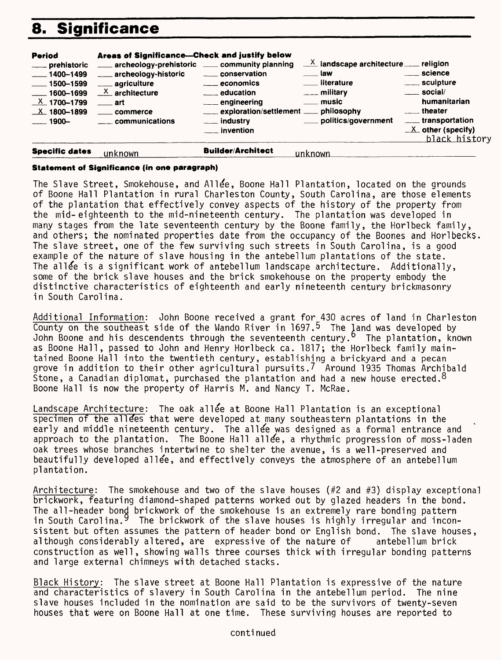# **8. Significance**



#### **Statement of Significance (in one paragraph)**

The Slave Street, Smokehouse, and Allee, Boone Hall Plantation, located on the grounds of Boone Hall Plantation in rural Charleston County, South Carolina, are those elements of the plantation that effectively convey aspects of the history of the property from the mid-eighteenth to the mid-nineteenth century. The plantation was developed in many stages from the late seventeenth century by the Boone family, the Horlbeck family, and others; the nominated properties date from the occupancy of the Boones and Horlbecks. The slave street, one of the few surviving such streets in South Carolina, is a good example of the nature of slave housing in the antebellum plantations of the state. The allege is a significant work of antebellum landscape architecture. Additionally, some of the brick slave houses and the brick smokehouse on the property embody the distinctive characteristics of eighteenth and early nineteenth century brickmasonry in South Carolina.

Additional Information: John Boone received a grant for 430 acres of land in Charleston County on the southeast side of the Wando River in 1697.<sup>5</sup> The land was developed by John Boone and his descendents through the seventeenth century.<sup>6</sup> The plantation, known as Boone Hall, passed to John and Henry Horlbeck ca. 1817; the Horlbeck family maintained Boone Hall into the twentieth century, establishing a brickyard and a pecan grove in addition to their other agricultural pursuits.<sup>7</sup> Around 1935 Thomas Archibald Stone, a Canadian diplomat, purchased the plantation and had a new house erected.  $8$ Boone Hall is now the property of Harris M. and Nancy T. McRae.

Landscape Architecture: The oak allee at Boone Hall Plantation is an exceptional specimen of the allees that were developed at many southeastern plantations in the early and middle nineteenth century. The allee was designed as a formal entrance and approach to the plantation. The Boone Hall allee, a rhythmic progression of moss-laden oak trees whose branches intertwine to shelter the avenue, is a well-preserved and beautifully developed allee, and effectively conveys the atmosphere of an antebellum plantation.

Architecture: The smokehouse and two of the slave houses (#2 and #3) display exceptional brickwork, featuring diamond-shaped patterns worked out by glazed headers in the bond. The all-header bond brickwork of the smokehouse is an extremely rare bonding pattern in South Carolina.<sup>9</sup> The brickwork of the slave houses is highly irregular and inconsistent but often assumes the pattern of header bond or English bond. The slave houses,<br>although considerably altered, are expressive of the nature of antebellum brick although considerably altered, are expressive of the nature of construction as well, showing walls three courses thick with irregular bonding patterns and large external chimneys with detached stacks.

Black History: The slave street at Boone Hall Plantation is expressive of the nature and characteristics of slavery in South Carolina in the antebellum period. The nine slave houses included in the nomination are said to be the survivors of twenty-seven houses that were on Boone Hall at one time. These surviving houses are reported to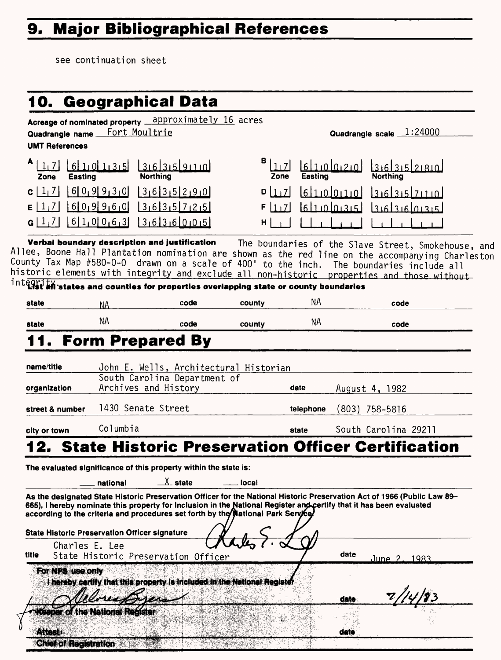# **9. Major Bibliographical References**

see continuation sheet

| Quadrangle name __<br><b>UMT References</b> | Acreage of nominated property ___ approximately 16 acres<br>Fort Moultrie |                              |                                                                                                                                 |           | Quadrangle scale $1:24000$                                                                                                                                                                                                                                                                                                                        |
|---------------------------------------------|---------------------------------------------------------------------------|------------------------------|---------------------------------------------------------------------------------------------------------------------------------|-----------|---------------------------------------------------------------------------------------------------------------------------------------------------------------------------------------------------------------------------------------------------------------------------------------------------------------------------------------------------|
| 1,7<br>Easting<br>Zone                      | 610135<br><b>Northing</b>                                                 | 31631591110                  | в<br>1 <sub>1</sub><br>Zone                                                                                                     | Easting   | 6110020<br>3.631521810<br><b>Northing</b>                                                                                                                                                                                                                                                                                                         |
| c   1, 7 <br>E[1,7]<br>G[1,7]               | 609930<br>609960<br>$6 1,0 0,6,3$ 36360015                                | 3635290<br>316131571215      | D 1 7 <br>F[1,7]<br>H.                                                                                                          |           | 61100110<br>3161315171110<br>لعيديما وبيلوا<br>لعبديما ويعلورها                                                                                                                                                                                                                                                                                   |
|                                             | Verbai boundary description and justification                             |                              | $\inf$ $\overline{\mathbf{q}(\mathbf{r})+\mathbf{y}}$ states and counties for properties overlapping state or county boundaries |           | The boundaries of the Slave Street, Smokehouse, and<br>Allee, Boone Hall Plantation nomination are shown as the red line on the accompanying Charleston<br>County Tax Map #580-0-0 drawn on a scale of 400' to the inch. The boundaries include all<br>historic elements with integrity and exclude all non-historic properties and those without |
| state                                       | ΝA                                                                        | code                         | county                                                                                                                          | NA.       | code                                                                                                                                                                                                                                                                                                                                              |
| state                                       | ΝA                                                                        | code                         | county                                                                                                                          | NA.       | code                                                                                                                                                                                                                                                                                                                                              |
|                                             | <b>Form Prepared By</b>                                                   |                              |                                                                                                                                 |           |                                                                                                                                                                                                                                                                                                                                                   |
| name/title                                  |                                                                           |                              | John E. Wells, Architectural Historian                                                                                          |           |                                                                                                                                                                                                                                                                                                                                                   |
| organization                                | Archives and History                                                      | South Carolina Department of |                                                                                                                                 | date      | August 4, 1982                                                                                                                                                                                                                                                                                                                                    |
| street & number                             | 1430 Senate Street                                                        |                              |                                                                                                                                 | telephone | $(803)$ 758-5816                                                                                                                                                                                                                                                                                                                                  |
| city or town                                | Columbia                                                                  |                              |                                                                                                                                 | state     | South Carolina 29211                                                                                                                                                                                                                                                                                                                              |
|                                             |                                                                           |                              |                                                                                                                                 |           | 12. State Historic Preservation Officer Certification                                                                                                                                                                                                                                                                                             |
|                                             | The evaluated significance of this property within the state is:          |                              |                                                                                                                                 |           |                                                                                                                                                                                                                                                                                                                                                   |
|                                             | national                                                                  | $\chi$ state                 | local                                                                                                                           |           |                                                                                                                                                                                                                                                                                                                                                   |
|                                             |                                                                           |                              | according to the criteria and procedures set forth by the Mational Park Service                                                 |           | As the designated State Historic Preservation Officer for the National Historic Preservation Act of 1966 (Public Law 89-<br>665), I hereby nominate this property for Inclusion in the National Register and certify that it has been evaluated                                                                                                   |
|                                             |                                                                           |                              |                                                                                                                                 |           |                                                                                                                                                                                                                                                                                                                                                   |
|                                             | <b>State Historic Preservation Officer signature</b>                      |                              |                                                                                                                                 |           |                                                                                                                                                                                                                                                                                                                                                   |
| Charles E. Lee                              | State Historic Preservation Officer                                       |                              |                                                                                                                                 |           | date<br>June 2<br>1983                                                                                                                                                                                                                                                                                                                            |
| For NPS use only                            |                                                                           |                              | I hereby certify that this property is included in the National Register                                                        |           |                                                                                                                                                                                                                                                                                                                                                   |
| title<br>Attest:                            | teeper of the National Register                                           |                              |                                                                                                                                 |           | date<br>date                                                                                                                                                                                                                                                                                                                                      |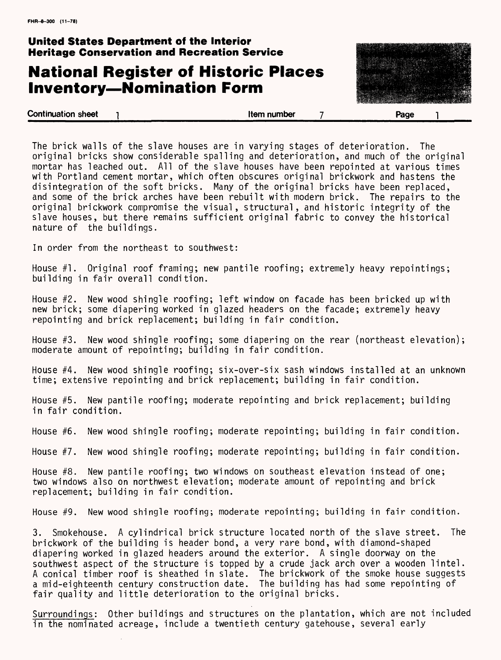### **United States Department of the Interior Heritage Conservation and Recreation Service**

## **National Register of Historic Places Inventory-Nomination Form**



The brick walls of the slave houses are in varying stages of deterioration. The original bricks show considerable spalling and deterioration, and much of the original mortar has leached out. All of the slave houses have been repointed at various times with Portland cement mortar, which often obscures original brickwork and hastens the disintegration of the soft bricks. Many of the original bricks have been replaced, and some of the brick arches have been rebuilt with modern brick. The repairs to the original brickwork compromise the visual, structural, and historic integrity of the slave houses, but there remains sufficient original fabric to convey the historical nature of the buildings.

In order from the northeast to southwest:

House #1. Original roof framing; new pantile roofing; extremely heavy repointings; building in fair overall condition.

House #2. New wood shingle roofing; left window on facade has been bricked up with new brick; some diapering worked in glazed headers on the facade; extremely heavy repointing and brick replacement; building in fair condition.

House #3. New wood shingle roofing; some diapering on the rear (northeast elevation); moderate amount of repointing; building in fair condition.

House #4. New wood shingle roofing; six-over-six sash windows installed at an unknown time; extensive repointing and brick replacement; building in fair condition.

House #5. New pantile roofing; moderate repointing and brick replacement; building in fair condition.

House #6. New wood shingle roofing; moderate repointing; building in fair condition.

House #7. New wood shingle roofing; moderate repointing; building in fair condition.

House #8. New pantile roofing; two windows on southeast elevation instead of one; two windows also on northwest elevation; moderate amount of repointing and brick replacement; building in fair condition.

House #9. New wood shingle roofing; moderate repointing; building in fair condition.

3. Smokehouse. A cylindrical brick structure located north of the slave street. The brickwork of the building is header bond, a very rare bond, with diamond-shaped diapering worked in glazed headers around the exterior. A single doorway on the southwest aspect of the structure is topped by a crude jack arch over a wooden lintel. A conical timber roof is sheathed in slate. The brickwork of the smoke house suggests a mid-eighteenth century construction date. The building has had some repointing of fair quality and little deterioration to the original bricks.

Surroundings: Other buildings and structures on the plantation, which are not included in the nominated acreage, include a twentieth century gatehouse, several early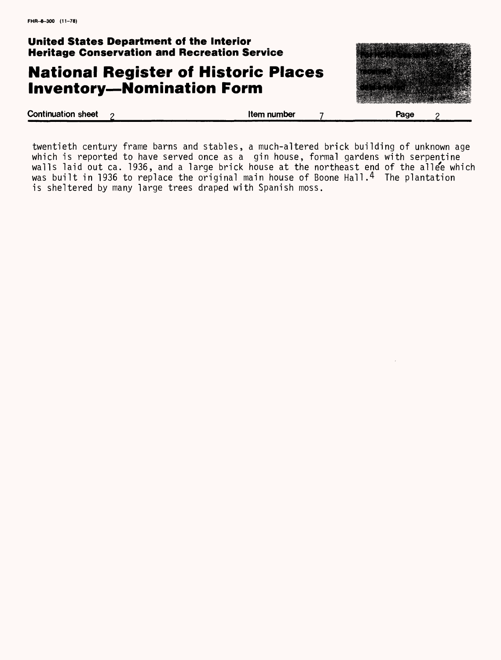**United States Department of the Interior Heritage Conservation and Recreation Service**

## **National Register of Historic Places Inventory-Nomination Form**



twentieth century frame barns and stables, a much-altered brick building of unknown age which is reported to have served once as a gin house, formal gardens with serpentine walls laid out ca. 1936, and a large brick house at the northeast end of the allee which was built in 1936 to replace the original main house of Boone Hall.4 The plantation is sheltered by many large trees draped with Spanish moss.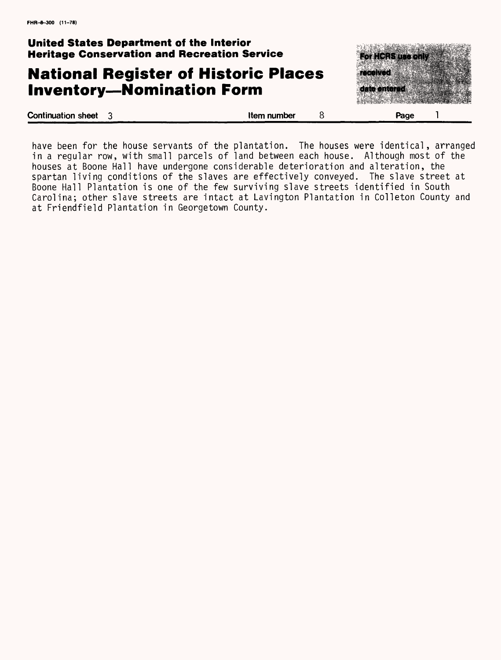**United States Department of the Interior Heritage Conservation and Recreation Service**

### **National Register of Historic Places Inventory-Nomination Form**



have been for the house servants of the plantation. The houses were identical, arranged in a regular row, with small parcels of land between each house. Although most of the houses at Boone Hall have undergone considerable deterioration and alteration, the spartan living conditions of the slaves are effectively conveyed. The slave street at Boone Hall Plantation is one of the few surviving slave streets identified in South Carolina; other slave streets are intact at Lavington Plantation in Colleton County and at Friendfield Plantation in Georgetown County.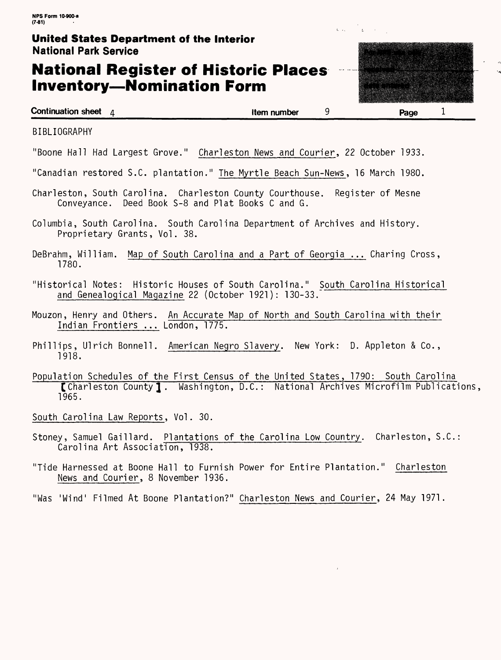### **United States Department of the Interior** National Park Service

## **National Register of Historic Places Inventory-Nomination Form**



L .

BIBLIOGRAPHY

"Boone Hall Had Largest Grove." Charleston News and Courier, 22 October 1933.

"Canadian restored S.C. plantation." The Myrtle Beach Sun-News, 16 March 1980.

- Charleston, South Carolina. Charleston County Courthouse. Register of Mesne Conveyance. Deed Book S-8 and Plat Books C and G.
- Columbia, South Carolina. South Carolina Department of Archives and History. Proprietary Grants, Vol. 38.
- DeBrahm, William. Map of South Carolina and a Part of Georgia ... Charing Cross, 1780.
- "Historical Notes: Historic Houses of South Carolina." South Carolina Historical and Genealogical Magazine 22 (October 1921): 130-33.
- Mouzon, Henry and Others. An Accurate Map of North and South Carolina with their Indian Frontiers ... London, 1775.
- Phillips, Ulrich Bonnell. American Negro Slavery. New York: D. Appleton & Co., 1918.
- Population Schedules of the First Census of the United States, 1790: South Carolina [Charleston County J . Washington, D.C.: National Archives Microfilm Publications, 1965.

South Carolina Law Reports, Vol. 30.

- Stoney, Samuel Gaillard. Plantations of the Carolina Low Country. Charleston, S.C.: Carolina Art Association, 1938.
- "Tide Harnessed at Boone Hall to Furnish Power for Entire Plantation." Charleston News and Courier, 8 November 1936.
- "Was 'Wind' Filmed At Boone Plantation?" Charleston News and Courier, 24 May 1971.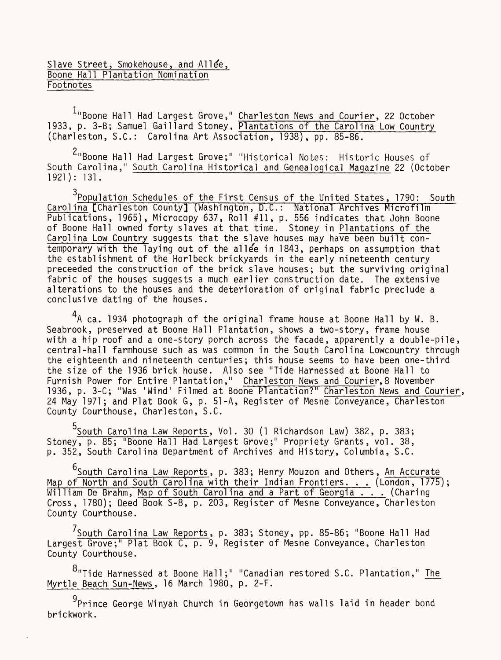### Slave Street, Smokehouse, and Allee, Boone Hall Plantation Nomination **Footnotes**

<sup>1</sup>"Boone Hall Had Largest Grove," Charleston News and Courier, 22 October 1933, p. 3-B; Samuel Gaillard Stoney, Plantations of the Carolina Low Country (Charleston, S.C.: Carolina Art Association, 1938), pp. 85-86.

<sup>2</sup>"Boone Hall Had Largest Grove;" "Historical Notes: Historic Houses of South Carolina," South Carolina Historical and Genealogical Magazine 22 (October 1921): 131.

<sup>3</sup>Population Schedules of the First Census of the United States, 1790: South Carolina [Charleston County] (Washington, D.C.: National Archives Microfilm [ Publications, 1965), Microcopy 637, Roll #11, p. 556 indicates that John Boone of Boone Hall owned forty slaves at that time. Stoney in Plantations of the Carolina Low Country suggests that the slave houses may have been built contemporary with the laying out of the alle'e in 1843, perhaps on assumption that the establishment of the Horlbeck brickyards in the early nineteenth century preceeded the construction of the brick slave houses; but the surviving original fabric of the houses suggests a much earlier construction date. The extensive alterations to the houses and the deterioration of original fabric preclude a conclusive dating of the houses.

 $4$ A ca. 1934 photograph of the original frame house at Boone Hall by W. B. Seabrook, preserved at Boone Hall Plantation, shows a two-story, frame house with a hip roof and a one-story porch across the facade, apparently a double-pile, central-hall farmhouse such as was common in the South Carolina Lowcountry through the eighteenth and nineteenth centuries; this house seems to have been one-third the size of the 1936 brick house. Also see "Tide Harnessed at Boone Hall to Furnish Power for Entire Plantation," Charleston News and Courier,8 November 1936, p. 3-C; "Was 'Wind' Filmed at Boone Plantation?" Charleston News and Courier, 24 May 1971; and Plat Book G, p. 51-A, Register of Mesne Conveyance, Charleston County Courthouse, Charleston, S.C.

5<br>South Caroli<u>na Law Reports</u>, Vol. 30 (1 Richardson Law) 382, p. 383; Stoney, p. 85; "Boone Hall Had Largest Grove;" Propriety Grants, vol. 38, p. 352, South Carolina Department of Archives and History, Columbia, S.C.

<sup>6</sup>South Carolina Law Reports, p. 383; Henry Mouzon and Others, An Accurate Map of North and South Carolina with their Indian Frontiers. . . (London, 1775); William De Brahm, <u>Map of South Carolina and a Part</u> of Georgia . . . (Charing Cross, 1780); Deed Book S-8, p. 203, Register of Mesne Conveyance, Charleston County Courthouse.

<sup>/</sup>South Carolina Law Reports, p. 383; Stoney, pp. 85-86; "Boone Hall Had Largest Grove;" Plat Book C, p. 9, Register of Mesne Conveyance, Charleston County Courthouse.

o "Tide Harnessed at Boone Hall;" "Canadian restored S.C. Plantation," <u>The</u> Myrtle Beach Sun-News, 16 March 1980, p. 2-F.

<sup>9</sup>Prince George Winyah Church in Georgetown has walls laid in header bond brickwork.